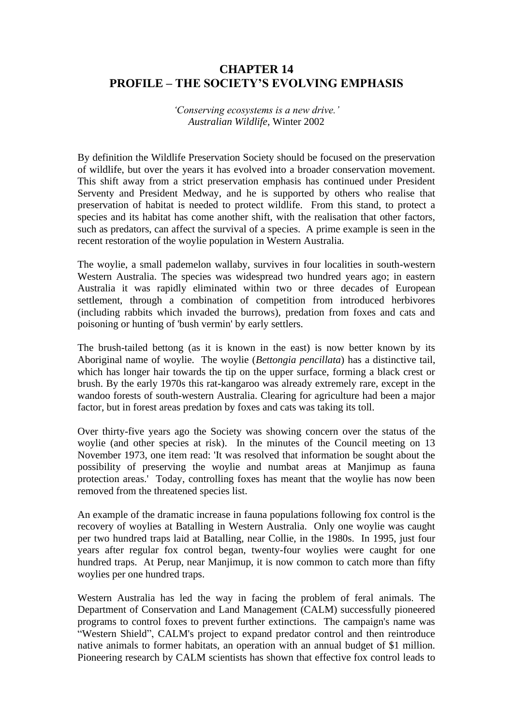# **CHAPTER 14 PROFILE – THE SOCIETY'S EVOLVING EMPHASIS**

*'Conserving ecosystems is a new drive.' Australian Wildlife,* Winter 2002

By definition the Wildlife Preservation Society should be focused on the preservation of wildlife, but over the years it has evolved into a broader conservation movement. This shift away from a strict preservation emphasis has continued under President Serventy and President Medway, and he is supported by others who realise that preservation of habitat is needed to protect wildlife. From this stand, to protect a species and its habitat has come another shift, with the realisation that other factors, such as predators, can affect the survival of a species. A prime example is seen in the recent restoration of the woylie population in Western Australia.

The woylie, a small pademelon wallaby, survives in four localities in south-western Western Australia. The species was widespread two hundred years ago; in eastern Australia it was rapidly eliminated within two or three decades of European settlement, through a combination of competition from introduced herbivores (including rabbits which invaded the burrows), predation from foxes and cats and poisoning or hunting of 'bush vermin' by early settlers.

The brush-tailed bettong (as it is known in the east) is now better known by its Aboriginal name of woylie. The woylie (*Bettongia pencillata*) has a distinctive tail, which has longer hair towards the tip on the upper surface, forming a black crest or brush. By the early 1970s this rat-kangaroo was already extremely rare, except in the wandoo forests of south-western Australia. Clearing for agriculture had been a major factor, but in forest areas predation by foxes and cats was taking its toll.

Over thirty-five years ago the Society was showing concern over the status of the woylie (and other species at risk). In the minutes of the Council meeting on 13 November 1973, one item read: 'It was resolved that information be sought about the possibility of preserving the woylie and numbat areas at Manjimup as fauna protection areas.' Today, controlling foxes has meant that the woylie has now been removed from the threatened species list.

An example of the dramatic increase in fauna populations following fox control is the recovery of woylies at Batalling in Western Australia. Only one woylie was caught per two hundred traps laid at Batalling, near Collie, in the 1980s. In 1995, just four years after regular fox control began, twenty-four woylies were caught for one hundred traps. At Perup, near Manjimup, it is now common to catch more than fifty woylies per one hundred traps.

Western Australia has led the way in facing the problem of feral animals. The Department of Conservation and Land Management (CALM) successfully pioneered programs to control foxes to prevent further extinctions. The campaign's name was "Western Shield", CALM's project to expand predator control and then reintroduce native animals to former habitats, an operation with an annual budget of \$1 million. Pioneering research by CALM scientists has shown that effective fox control leads to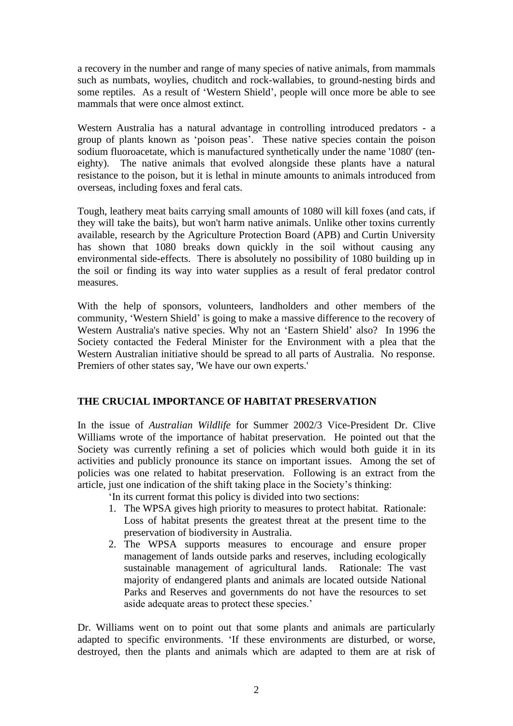a recovery in the number and range of many species of native animals, from mammals such as numbats, woylies, chuditch and rock-wallabies, to ground-nesting birds and some reptiles. As a result of 'Western Shield', people will once more be able to see mammals that were once almost extinct.

Western Australia has a natural advantage in controlling introduced predators - a group of plants known as 'poison peas'. These native species contain the poison sodium fluoroacetate, which is manufactured synthetically under the name '1080' (teneighty). The native animals that evolved alongside these plants have a natural resistance to the poison, but it is lethal in minute amounts to animals introduced from overseas, including foxes and feral cats.

Tough, leathery meat baits carrying small amounts of 1080 will kill foxes (and cats, if they will take the baits), but won't harm native animals. Unlike other toxins currently available, research by the Agriculture Protection Board (APB) and Curtin University has shown that 1080 breaks down quickly in the soil without causing any environmental side-effects. There is absolutely no possibility of 1080 building up in the soil or finding its way into water supplies as a result of feral predator control measures.

With the help of sponsors, volunteers, landholders and other members of the community, 'Western Shield' is going to make a massive difference to the recovery of Western Australia's native species. Why not an 'Eastern Shield' also? In 1996 the Society contacted the Federal Minister for the Environment with a plea that the Western Australian initiative should be spread to all parts of Australia. No response. Premiers of other states say, 'We have our own experts.'

## **THE CRUCIAL IMPORTANCE OF HABITAT PRESERVATION**

In the issue of *Australian Wildlife* for Summer 2002/3 Vice-President Dr. Clive Williams wrote of the importance of habitat preservation. He pointed out that the Society was currently refining a set of policies which would both guide it in its activities and publicly pronounce its stance on important issues. Among the set of policies was one related to habitat preservation. Following is an extract from the article, just one indication of the shift taking place in the Society's thinking:

'In its current format this policy is divided into two sections:

- 1. The WPSA gives high priority to measures to protect habitat. Rationale: Loss of habitat presents the greatest threat at the present time to the preservation of biodiversity in Australia.
- 2. The WPSA supports measures to encourage and ensure proper management of lands outside parks and reserves, including ecologically sustainable management of agricultural lands. Rationale: The vast majority of endangered plants and animals are located outside National Parks and Reserves and governments do not have the resources to set aside adequate areas to protect these species.'

Dr. Williams went on to point out that some plants and animals are particularly adapted to specific environments. 'If these environments are disturbed, or worse, destroyed, then the plants and animals which are adapted to them are at risk of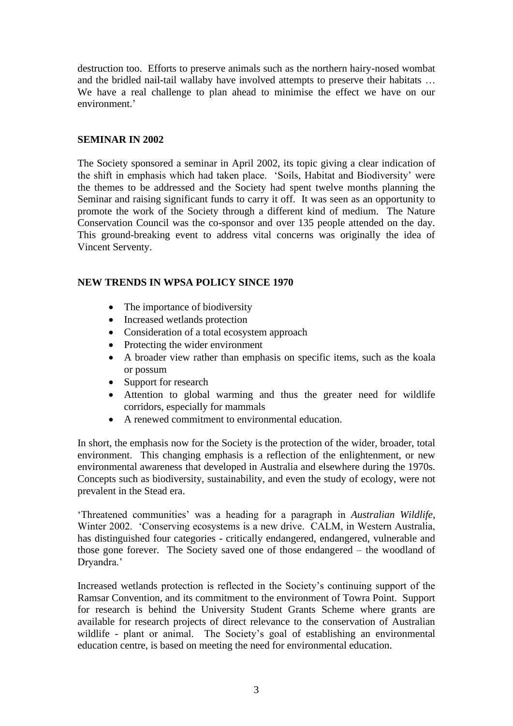destruction too. Efforts to preserve animals such as the northern hairy-nosed wombat and the bridled nail-tail wallaby have involved attempts to preserve their habitats … We have a real challenge to plan ahead to minimise the effect we have on our environment.'

### **SEMINAR IN 2002**

The Society sponsored a seminar in April 2002, its topic giving a clear indication of the shift in emphasis which had taken place. 'Soils, Habitat and Biodiversity' were the themes to be addressed and the Society had spent twelve months planning the Seminar and raising significant funds to carry it off. It was seen as an opportunity to promote the work of the Society through a different kind of medium. The Nature Conservation Council was the co-sponsor and over 135 people attended on the day. This ground-breaking event to address vital concerns was originally the idea of Vincent Serventy.

### **NEW TRENDS IN WPSA POLICY SINCE 1970**

- The importance of biodiversity
- Increased wetlands protection
- Consideration of a total ecosystem approach
- Protecting the wider environment
- A broader view rather than emphasis on specific items, such as the koala or possum
- Support for research
- Attention to global warming and thus the greater need for wildlife corridors, especially for mammals
- A renewed commitment to environmental education.

In short, the emphasis now for the Society is the protection of the wider, broader, total environment. This changing emphasis is a reflection of the enlightenment, or new environmental awareness that developed in Australia and elsewhere during the 1970s. Concepts such as biodiversity, sustainability, and even the study of ecology, were not prevalent in the Stead era.

'Threatened communities' was a heading for a paragraph in *Australian Wildlife*, Winter 2002. 'Conserving ecosystems is a new drive. CALM, in Western Australia, has distinguished four categories - critically endangered, endangered, vulnerable and those gone forever. The Society saved one of those endangered – the woodland of Dryandra.'

Increased wetlands protection is reflected in the Society's continuing support of the Ramsar Convention, and its commitment to the environment of Towra Point. Support for research is behind the University Student Grants Scheme where grants are available for research projects of direct relevance to the conservation of Australian wildlife - plant or animal. The Society's goal of establishing an environmental education centre, is based on meeting the need for environmental education.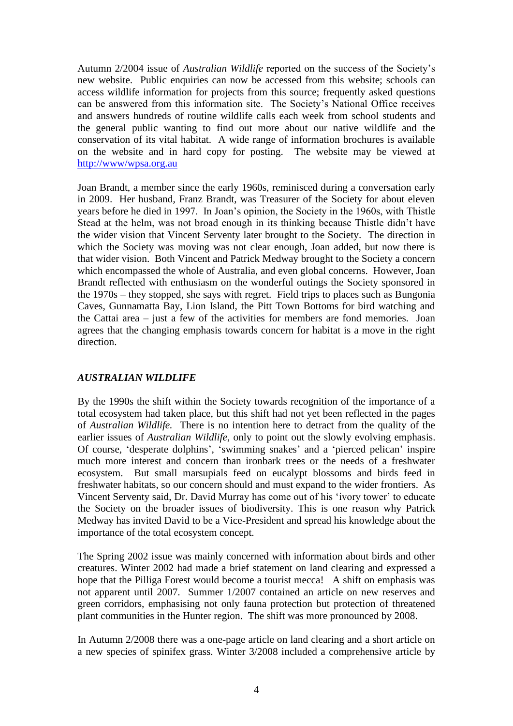Autumn 2/2004 issue of *Australian Wildlife* reported on the success of the Society's new website. Public enquiries can now be accessed from this website; schools can access wildlife information for projects from this source; frequently asked questions can be answered from this information site. The Society's National Office receives and answers hundreds of routine wildlife calls each week from school students and the general public wanting to find out more about our native wildlife and the conservation of its vital habitat. A wide range of information brochures is available on the website and in hard copy for posting. The website may be viewed at <http://www/wpsa.org.au>

Joan Brandt, a member since the early 1960s, reminisced during a conversation early in 2009. Her husband, Franz Brandt, was Treasurer of the Society for about eleven years before he died in 1997. In Joan's opinion, the Society in the 1960s, with Thistle Stead at the helm, was not broad enough in its thinking because Thistle didn't have the wider vision that Vincent Serventy later brought to the Society. The direction in which the Society was moving was not clear enough, Joan added, but now there is that wider vision. Both Vincent and Patrick Medway brought to the Society a concern which encompassed the whole of Australia, and even global concerns. However, Joan Brandt reflected with enthusiasm on the wonderful outings the Society sponsored in the 1970s – they stopped, she says with regret. Field trips to places such as Bungonia Caves, Gunnamatta Bay, Lion Island, the Pitt Town Bottoms for bird watching and the Cattai area – just a few of the activities for members are fond memories. Joan agrees that the changing emphasis towards concern for habitat is a move in the right direction.

### *AUSTRALIAN WILDLIFE*

By the 1990s the shift within the Society towards recognition of the importance of a total ecosystem had taken place, but this shift had not yet been reflected in the pages of *Australian Wildlife.* There is no intention here to detract from the quality of the earlier issues of *Australian Wildlife*, only to point out the slowly evolving emphasis. Of course, 'desperate dolphins', 'swimming snakes' and a 'pierced pelican' inspire much more interest and concern than ironbark trees or the needs of a freshwater ecosystem. But small marsupials feed on eucalypt blossoms and birds feed in freshwater habitats, so our concern should and must expand to the wider frontiers. As Vincent Serventy said, Dr. David Murray has come out of his 'ivory tower' to educate the Society on the broader issues of biodiversity. This is one reason why Patrick Medway has invited David to be a Vice-President and spread his knowledge about the importance of the total ecosystem concept.

The Spring 2002 issue was mainly concerned with information about birds and other creatures. Winter 2002 had made a brief statement on land clearing and expressed a hope that the Pilliga Forest would become a tourist mecca! A shift on emphasis was not apparent until 2007. Summer 1/2007 contained an article on new reserves and green corridors, emphasising not only fauna protection but protection of threatened plant communities in the Hunter region. The shift was more pronounced by 2008.

In Autumn 2/2008 there was a one-page article on land clearing and a short article on a new species of spinifex grass. Winter 3/2008 included a comprehensive article by